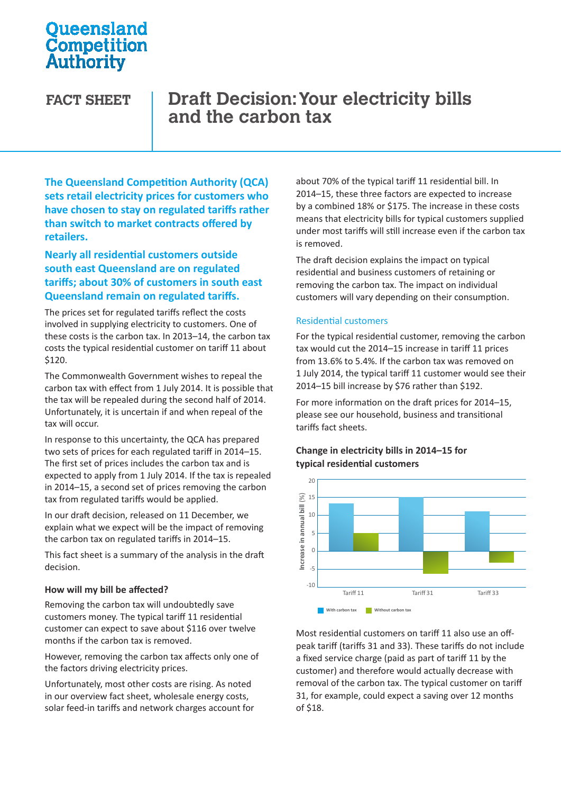# **Oueensland** Competition Authority

# **FACT SHEET Draft Decision: Your electricity bills and the carbon tax**

**The Queensland Competition Authority (QCA) sets retail electricity prices for customers who have chosen to stay on regulated tariffs rather than switch to market contracts offered by retailers.**

# **Nearly all residential customers outside south east Queensland are on regulated tariffs; about 30% of customers in south east Queensland remain on regulated tariffs.**

The prices set for regulated tariffs reflect the costs involved in supplying electricity to customers. One of these costs is the carbon tax. In 2013–14, the carbon tax costs the typical residential customer on tariff 11 about \$120.

The Commonwealth Government wishes to repeal the carbon tax with effect from 1 July 2014. It is possible that the tax will be repealed during the second half of 2014. Unfortunately, it is uncertain if and when repeal of the tax will occur.

In response to this uncertainty, the QCA has prepared two sets of prices for each regulated tariff in 2014–15. The first set of prices includes the carbon tax and is expected to apply from 1 July 2014. If the tax is repealed in 2014–15, a second set of prices removing the carbon tax from regulated tariffs would be applied.

In our draft decision, released on 11 December, we explain what we expect will be the impact of removing the carbon tax on regulated tariffs in 2014–15.

This fact sheet is a summary of the analysis in the draft decision.

### **How will my bill be affected?**

Removing the carbon tax will undoubtedly save customers money. The typical tariff 11 residential customer can expect to save about \$116 over twelve months if the carbon tax is removed.

However, removing the carbon tax affects only one of the factors driving electricity prices.

Unfortunately, most other costs are rising. As noted in our overview fact sheet, wholesale energy costs, solar feed-in tariffs and network charges account for about 70% of the typical tariff 11 residential bill. In 2014–15, these three factors are expected to increase by a combined 18% or \$175. The increase in these costs means that electricity bills for typical customers supplied under most tariffs will still increase even if the carbon tax is removed.

The draft decision explains the impact on typical residential and business customers of retaining or removing the carbon tax. The impact on individual customers will vary depending on their consumption.

### Residential customers

For the typical residential customer, removing the carbon tax would cut the 2014–15 increase in tariff 11 prices from 13.6% to 5.4%. If the carbon tax was removed on 1 July 2014, the typical tariff 11 customer would see their 2014–15 bill increase by \$76 rather than \$192.

For more information on the draft prices for 2014–15, please see our household, business and transitional tariffs fact sheets.

### **Change in electricity bills in 2014–15 for typical residential customers**



Most residential customers on tariff 11 also use an offpeak tariff (tariffs 31 and 33). These tariffs do not include a fixed service charge (paid as part of tariff 11 by the customer) and therefore would actually decrease with removal of the carbon tax. The typical customer on tariff 31, for example, could expect a saving over 12 months of \$18.